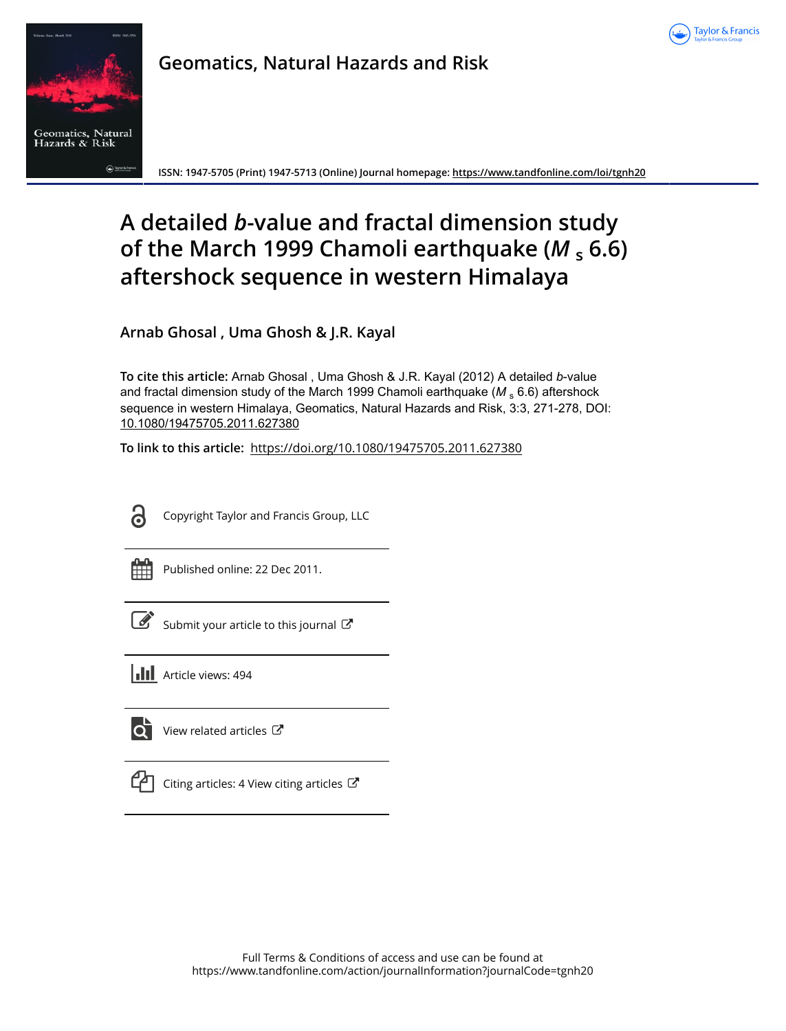



**Geomatics, Natural Hazards and Risk**

**ISSN: 1947-5705 (Print) 1947-5713 (Online) Journal homepage:<https://www.tandfonline.com/loi/tgnh20>**

# **A detailed** *b***-value and fractal dimension study of the March 1999 Chamoli earthquake (***M* **<sup>s</sup> 6.6) aftershock sequence in western Himalaya**

**Arnab Ghosal , Uma Ghosh & J.R. Kayal**

**To cite this article:** Arnab Ghosal , Uma Ghosh & J.R. Kayal (2012) A detailed *b*-value and fractal dimension study of the March 1999 Chamoli earthquake (M<sub>s</sub> 6.6) aftershock sequence in western Himalaya, Geomatics, Natural Hazards and Risk, 3:3, 271-278, DOI: [10.1080/19475705.2011.627380](https://www.tandfonline.com/action/showCitFormats?doi=10.1080/19475705.2011.627380)

**To link to this article:** <https://doi.org/10.1080/19475705.2011.627380>



Copyright Taylor and Francis Group, LLC



Published online: 22 Dec 2011.

Submit your article to this journal

**Article views: 494** 



 $\overline{Q}$  [View related articles](https://www.tandfonline.com/doi/mlt/10.1080/19475705.2011.627380)  $\mathbb{Z}$ 



 $\Box$  [Citing articles: 4 View citing articles](https://www.tandfonline.com/doi/citedby/10.1080/19475705.2011.627380#tabModule)  $\Box$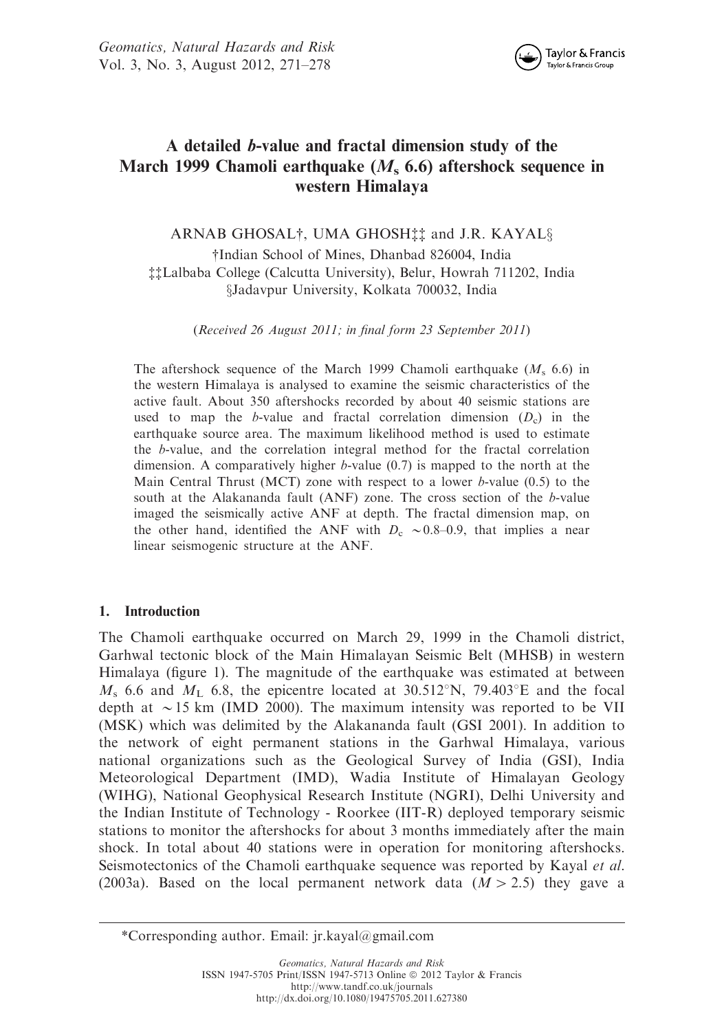

# A detailed b-value and fractal dimension study of the March 1999 Chamoli earthquake  $(M<sub>s</sub> 6.6)$  aftershock sequence in western Himalaya

ARNAB GHOSAL<sup>†</sup>, UMA GHOSH<sup>‡</sup>‡ and J.R. KAYAL§ {Indian School of Mines, Dhanbad 826004, India {{Lalbaba College (Calcutta University), Belur, Howrah 711202, India xJadavpur University, Kolkata 700032, India

(Received 26 August 2011; in final form 23 September 2011)

The aftershock sequence of the March 1999 Chamoli earthquake  $(M_s, 6.6)$  in the western Himalaya is analysed to examine the seismic characteristics of the active fault. About 350 aftershocks recorded by about 40 seismic stations are used to map the *b*-value and fractal correlation dimension  $(D_c)$  in the earthquake source area. The maximum likelihood method is used to estimate the b-value, and the correlation integral method for the fractal correlation dimension. A comparatively higher b-value (0.7) is mapped to the north at the Main Central Thrust (MCT) zone with respect to a lower  $b$ -value (0.5) to the south at the Alakananda fault (ANF) zone. The cross section of the b-value imaged the seismically active ANF at depth. The fractal dimension map, on the other hand, identified the ANF with  $D_c \sim 0.8-0.9$ , that implies a near linear seismogenic structure at the ANF.

# 1. Introduction

The Chamoli earthquake occurred on March 29, 1999 in the Chamoli district, Garhwal tectonic block of the Main Himalayan Seismic Belt (MHSB) in western Himalaya (figure 1). The magnitude of the earthquake was estimated at between  $M<sub>s</sub>$  6.6 and  $M<sub>L</sub>$  6.8, the epicentre located at 30.512°N, 79.403°E and the focal depth at  $\sim$  15 km (IMD 2000). The maximum intensity was reported to be VII (MSK) which was delimited by the Alakananda fault (GSI 2001). In addition to the network of eight permanent stations in the Garhwal Himalaya, various national organizations such as the Geological Survey of India (GSI), India Meteorological Department (IMD), Wadia Institute of Himalayan Geology (WIHG), National Geophysical Research Institute (NGRI), Delhi University and the Indian Institute of Technology - Roorkee (IIT-R) deployed temporary seismic stations to monitor the aftershocks for about 3 months immediately after the main shock. In total about 40 stations were in operation for monitoring aftershocks. Seismotectonics of the Chamoli earthquake sequence was reported by Kayal *et al.* (2003a). Based on the local permanent network data  $(M > 2.5)$  they gave a

<sup>\*</sup>Corresponding author. Email: jr.kayal@gmail.com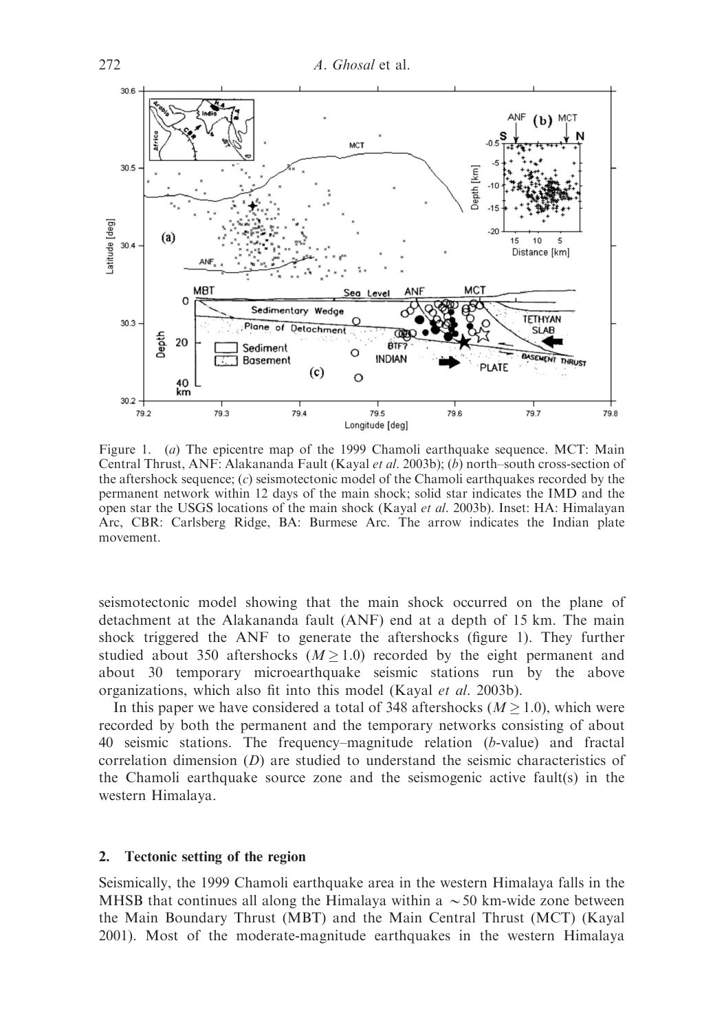

Figure 1. (a) The epicentre map of the 1999 Chamoli earthquake sequence. MCT: Main Central Thrust, ANF: Alakananda Fault (Kayal et al. 2003b); (b) north–south cross-section of the aftershock sequence;  $(c)$  seismotectonic model of the Chamoli earthquakes recorded by the permanent network within 12 days of the main shock; solid star indicates the IMD and the open star the USGS locations of the main shock (Kayal *et al.* 2003b). Inset: HA: Himalayan Arc, CBR: Carlsberg Ridge, BA: Burmese Arc. The arrow indicates the Indian plate movement.

seismotectonic model showing that the main shock occurred on the plane of detachment at the Alakananda fault (ANF) end at a depth of 15 km. The main shock triggered the ANF to generate the aftershocks (figure 1). They further studied about 350 aftershocks ( $M \ge 1.0$ ) recorded by the eight permanent and about 30 temporary microearthquake seismic stations run by the above organizations, which also fit into this model (Kayal et al. 2003b).

In this paper we have considered a total of 348 aftershocks ( $M \ge 1.0$ ), which were recorded by both the permanent and the temporary networks consisting of about 40 seismic stations. The frequency–magnitude relation (b-value) and fractal correlation dimension  $(D)$  are studied to understand the seismic characteristics of the Chamoli earthquake source zone and the seismogenic active fault(s) in the western Himalaya.

# 2. Tectonic setting of the region

Seismically, the 1999 Chamoli earthquake area in the western Himalaya falls in the MHSB that continues all along the Himalaya within a  $\sim$  50 km-wide zone between the Main Boundary Thrust (MBT) and the Main Central Thrust (MCT) (Kayal 2001). Most of the moderate-magnitude earthquakes in the western Himalaya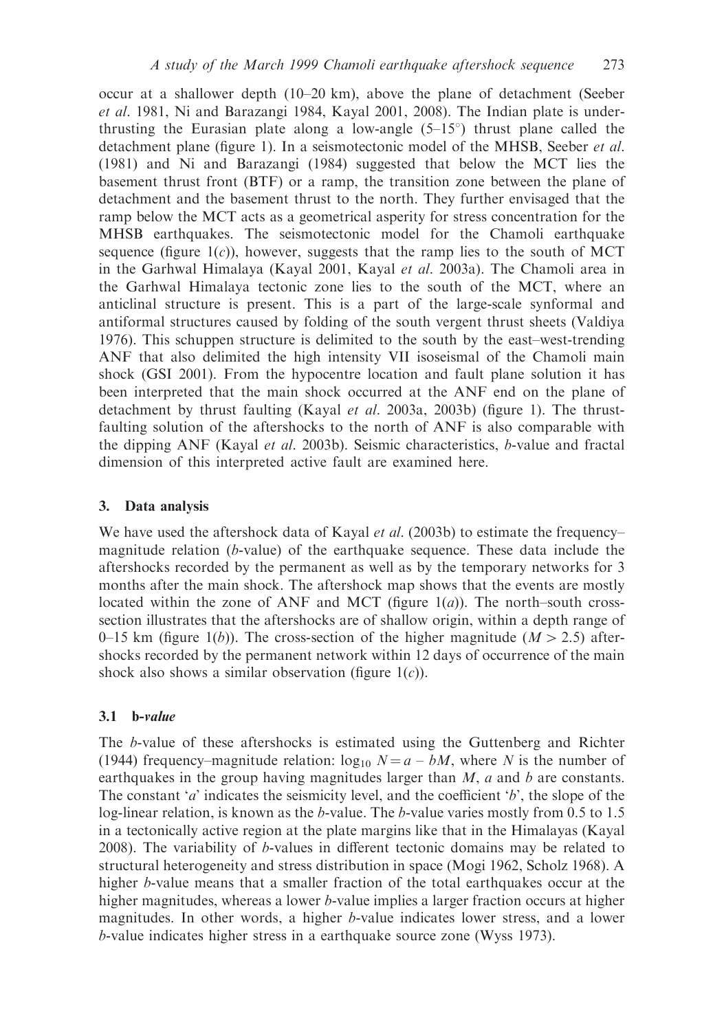occur at a shallower depth (10–20 km), above the plane of detachment (Seeber et al. 1981, Ni and Barazangi 1984, Kayal 2001, 2008). The Indian plate is underthrusting the Eurasian plate along a low-angle  $(5-15)$ ° thrust plane called the detachment plane (figure 1). In a seismotectonic model of the MHSB, Seeber et al. (1981) and Ni and Barazangi (1984) suggested that below the MCT lies the basement thrust front (BTF) or a ramp, the transition zone between the plane of detachment and the basement thrust to the north. They further envisaged that the ramp below the MCT acts as a geometrical asperity for stress concentration for the MHSB earthquakes. The seismotectonic model for the Chamoli earthquake sequence (figure  $1(c)$ ), however, suggests that the ramp lies to the south of MCT in the Garhwal Himalaya (Kayal 2001, Kayal et al. 2003a). The Chamoli area in the Garhwal Himalaya tectonic zone lies to the south of the MCT, where an anticlinal structure is present. This is a part of the large-scale synformal and antiformal structures caused by folding of the south vergent thrust sheets (Valdiya 1976). This schuppen structure is delimited to the south by the east–west-trending ANF that also delimited the high intensity VII isoseismal of the Chamoli main shock (GSI 2001). From the hypocentre location and fault plane solution it has been interpreted that the main shock occurred at the ANF end on the plane of detachment by thrust faulting (Kayal *et al.* 2003a, 2003b) (figure 1). The thrustfaulting solution of the aftershocks to the north of ANF is also comparable with the dipping ANF (Kayal et al. 2003b). Seismic characteristics, b-value and fractal dimension of this interpreted active fault are examined here.

# 3. Data analysis

We have used the aftershock data of Kayal *et al.* (2003b) to estimate the frequency– magnitude relation (b-value) of the earthquake sequence. These data include the aftershocks recorded by the permanent as well as by the temporary networks for 3 months after the main shock. The aftershock map shows that the events are mostly located within the zone of ANF and MCT (figure  $1(a)$ ). The north–south crosssection illustrates that the aftershocks are of shallow origin, within a depth range of 0–15 km (figure 1(b)). The cross-section of the higher magnitude ( $M > 2.5$ ) aftershocks recorded by the permanent network within 12 days of occurrence of the main shock also shows a similar observation (figure  $1(c)$ ).

# $3.1$  b-value

The b-value of these aftershocks is estimated using the Guttenberg and Richter (1944) frequency–magnitude relation:  $\log_{10} N = a - bM$ , where N is the number of earthquakes in the group having magnitudes larger than  $M$ ,  $a$  and  $b$  are constants. The constant 'a' indicates the seismicity level, and the coefficient 'b', the slope of the log-linear relation, is known as the *b*-value. The *b*-value varies mostly from 0.5 to 1.5 in a tectonically active region at the plate margins like that in the Himalayas (Kayal 2008). The variability of b-values in different tectonic domains may be related to structural heterogeneity and stress distribution in space (Mogi 1962, Scholz 1968). A higher b-value means that a smaller fraction of the total earthquakes occur at the higher magnitudes, whereas a lower b-value implies a larger fraction occurs at higher magnitudes. In other words, a higher b-value indicates lower stress, and a lower b-value indicates higher stress in a earthquake source zone (Wyss 1973).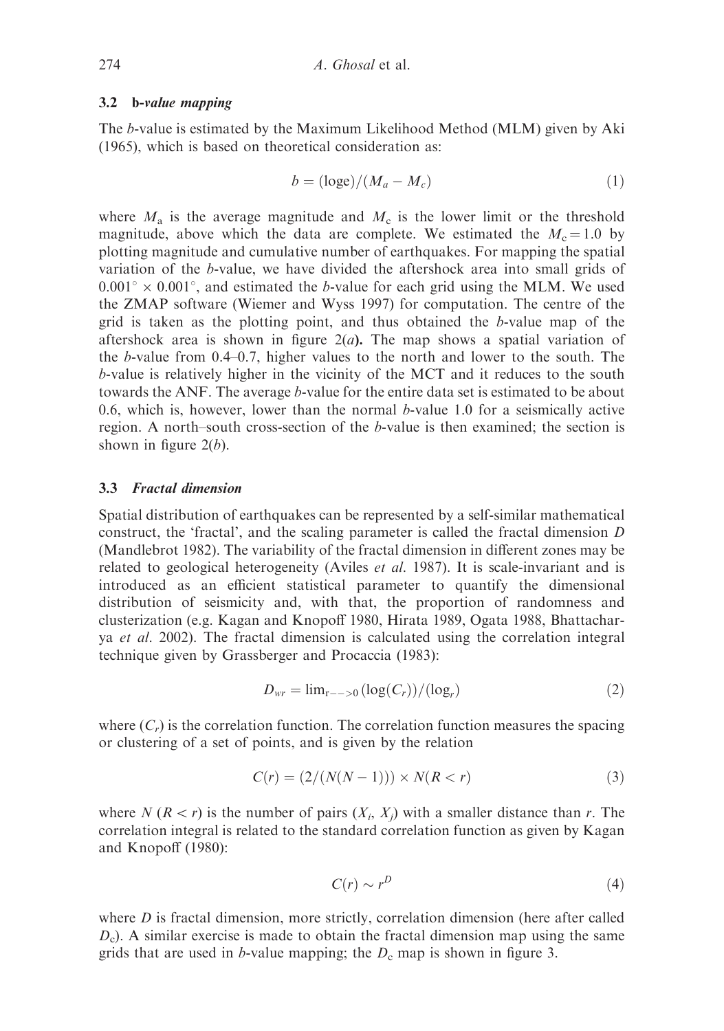#### 3.2 b-value mapping

The b-value is estimated by the Maximum Likelihood Method (MLM) given by Aki (1965), which is based on theoretical consideration as:

$$
b = (\log e)/(M_a - M_c) \tag{1}
$$

where  $M_a$  is the average magnitude and  $M_c$  is the lower limit or the threshold magnitude, above which the data are complete. We estimated the  $M_c = 1.0$  by plotting magnitude and cumulative number of earthquakes. For mapping the spatial variation of the b-value, we have divided the aftershock area into small grids of  $0.001^{\circ} \times 0.001^{\circ}$ , and estimated the b-value for each grid using the MLM. We used the ZMAP software (Wiemer and Wyss 1997) for computation. The centre of the grid is taken as the plotting point, and thus obtained the b-value map of the aftershock area is shown in figure  $2(a)$ . The map shows a spatial variation of the b-value from 0.4–0.7, higher values to the north and lower to the south. The b-value is relatively higher in the vicinity of the MCT and it reduces to the south towards the ANF. The average b-value for the entire data set is estimated to be about 0.6, which is, however, lower than the normal  $b$ -value 1.0 for a seismically active region. A north–south cross-section of the b-value is then examined; the section is shown in figure  $2(b)$ .

# 3.3 Fractal dimension

Spatial distribution of earthquakes can be represented by a self-similar mathematical construct, the 'fractal', and the scaling parameter is called the fractal dimension D (Mandlebrot 1982). The variability of the fractal dimension in different zones may be related to geological heterogeneity (Aviles *et al.* 1987). It is scale-invariant and is introduced as an efficient statistical parameter to quantify the dimensional distribution of seismicity and, with that, the proportion of randomness and clusterization (e.g. Kagan and Knopoff 1980, Hirata 1989, Ogata 1988, Bhattacharya et al. 2002). The fractal dimension is calculated using the correlation integral technique given by Grassberger and Procaccia (1983):

$$
D_{wr} = \lim_{r \to 0} \left( \log(C_r) \right) / (\log_r) \tag{2}
$$

where  $(C<sub>r</sub>)$  is the correlation function. The correlation function measures the spacing or clustering of a set of points, and is given by the relation

$$
C(r) = (2/(N(N-1))) \times N(R < r)
$$
 (3)

where N  $(R < r)$  is the number of pairs  $(X_i, X_j)$  with a smaller distance than r. The correlation integral is related to the standard correlation function as given by Kagan and Knopoff (1980):

$$
C(r) \sim r^D \tag{4}
$$

where  $D$  is fractal dimension, more strictly, correlation dimension (here after called  $D<sub>c</sub>$ ). A similar exercise is made to obtain the fractal dimension map using the same grids that are used in *b*-value mapping; the  $D_c$  map is shown in figure 3.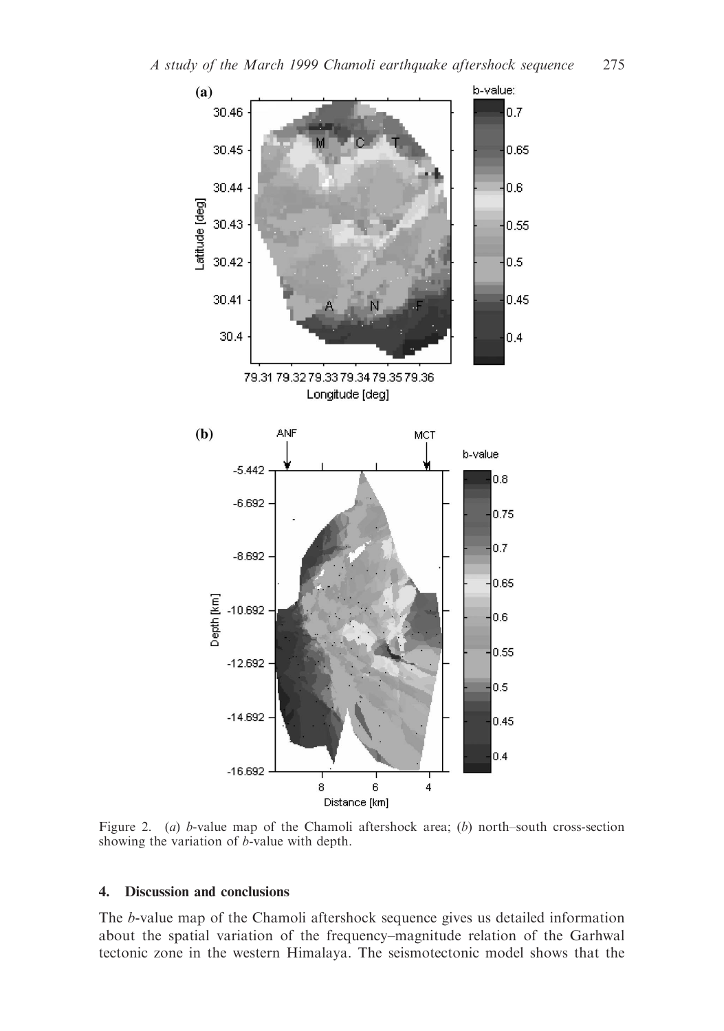

Figure 2. (a) b-value map of the Chamoli aftershock area; (b) north–south cross-section showing the variation of b-value with depth.

# 4. Discussion and conclusions

The b-value map of the Chamoli aftershock sequence gives us detailed information about the spatial variation of the frequency–magnitude relation of the Garhwal tectonic zone in the western Himalaya. The seismotectonic model shows that the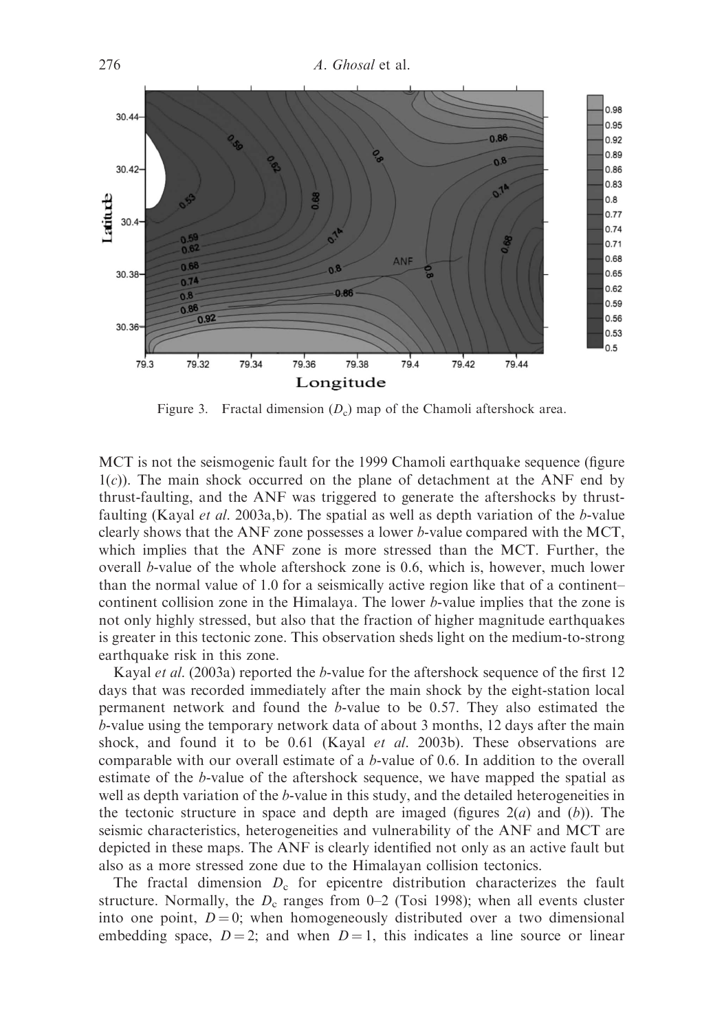

Figure 3. Fractal dimension  $(D_c)$  map of the Chamoli aftershock area.

MCT is not the seismogenic fault for the 1999 Chamoli earthquake sequence (figure  $1(c)$ ). The main shock occurred on the plane of detachment at the ANF end by thrust-faulting, and the ANF was triggered to generate the aftershocks by thrustfaulting (Kayal et al. 2003a,b). The spatial as well as depth variation of the b-value clearly shows that the ANF zone possesses a lower b-value compared with the MCT, which implies that the ANF zone is more stressed than the MCT. Further, the overall b-value of the whole aftershock zone is 0.6, which is, however, much lower than the normal value of 1.0 for a seismically active region like that of a continent– continent collision zone in the Himalaya. The lower b-value implies that the zone is not only highly stressed, but also that the fraction of higher magnitude earthquakes is greater in this tectonic zone. This observation sheds light on the medium-to-strong earthquake risk in this zone.

Kayal et al. (2003a) reported the b-value for the aftershock sequence of the first 12 days that was recorded immediately after the main shock by the eight-station local permanent network and found the  $b$ -value to be 0.57. They also estimated the b-value using the temporary network data of about 3 months, 12 days after the main shock, and found it to be 0.61 (Kayal et al. 2003b). These observations are comparable with our overall estimate of a b-value of 0.6. In addition to the overall estimate of the b-value of the aftershock sequence, we have mapped the spatial as well as depth variation of the *b*-value in this study, and the detailed heterogeneities in the tectonic structure in space and depth are imaged (figures  $2(a)$  and  $(b)$ ). The seismic characteristics, heterogeneities and vulnerability of the ANF and MCT are depicted in these maps. The ANF is clearly identified not only as an active fault but also as a more stressed zone due to the Himalayan collision tectonics.

The fractal dimension  $D_c$  for epicentre distribution characterizes the fault structure. Normally, the  $D_c$  ranges from 0–2 (Tosi 1998); when all events cluster into one point,  $D = 0$ ; when homogeneously distributed over a two dimensional embedding space,  $D = 2$ ; and when  $D = 1$ , this indicates a line source or linear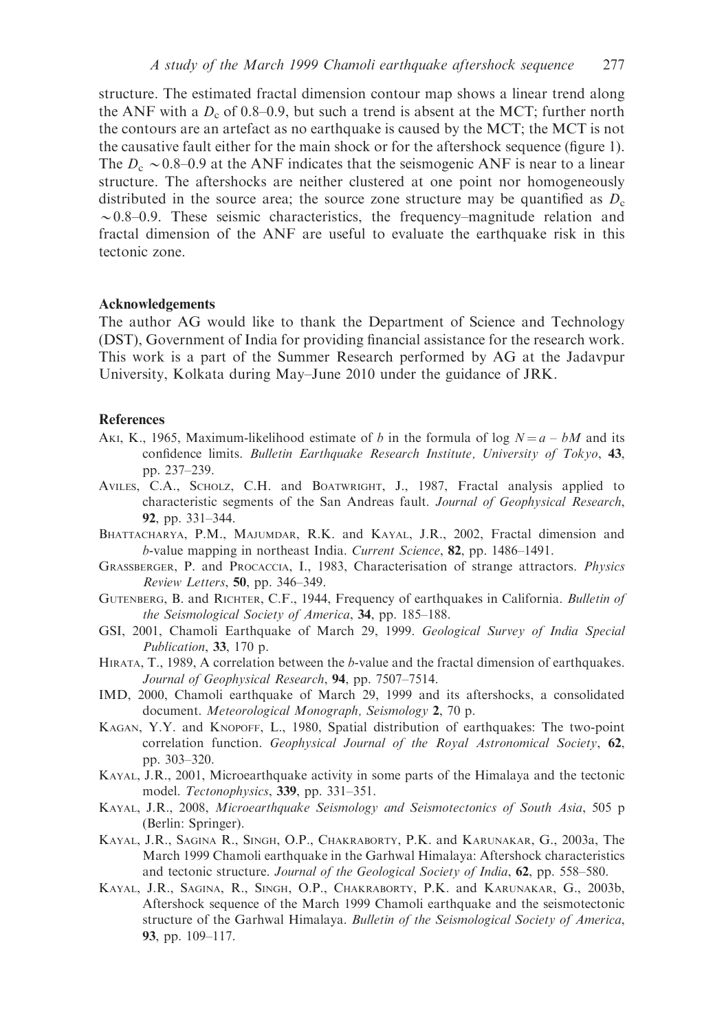structure. The estimated fractal dimension contour map shows a linear trend along the ANF with a  $D_c$  of 0.8–0.9, but such a trend is absent at the MCT; further north the contours are an artefact as no earthquake is caused by the MCT; the MCT is not the causative fault either for the main shock or for the aftershock sequence (figure 1). The  $D_c \sim 0.8$ –0.9 at the ANF indicates that the seismogenic ANF is near to a linear structure. The aftershocks are neither clustered at one point nor homogeneously distributed in the source area; the source zone structure may be quantified as  $D_c$  $\sim$  0.8–0.9. These seismic characteristics, the frequency–magnitude relation and fractal dimension of the ANF are useful to evaluate the earthquake risk in this tectonic zone.

#### Acknowledgements

The author AG would like to thank the Department of Science and Technology (DST), Government of India for providing financial assistance for the research work. This work is a part of the Summer Research performed by AG at the Jadavpur University, Kolkata during May–June 2010 under the guidance of JRK.

# **References**

- AKI, K., 1965, Maximum-likelihood estimate of b in the formula of log  $N = a bM$  and its confidence limits. Bulletin Earthquake Research Institute, University of Tokyo, 43, pp. 237–239.
- AVILES, C.A., SCHOLZ, C.H. and BOATWRIGHT, J., 1987, Fractal analysis applied to characteristic segments of the San Andreas fault. Journal of Geophysical Research, 92, pp. 331–344.
- BHATTACHARYA, P.M., MAJUMDAR, R.K. and KAYAL, J.R., 2002, Fractal dimension and b-value mapping in northeast India. Current Science, 82, pp. 1486–1491.
- GRASSBERGER, P. and PROCACCIA, I., 1983, Characterisation of strange attractors. Physics Review Letters, 50, pp. 346–349.
- GUTENBERG, B. and RICHTER, C.F., 1944, Frequency of earthquakes in California. Bulletin of the Seismological Society of America, 34, pp. 185–188.
- GSI, 2001, Chamoli Earthquake of March 29, 1999. Geological Survey of India Special Publication, 33, 170 p.
- HIRATA, T., 1989, A correlation between the b-value and the fractal dimension of earthquakes. Journal of Geophysical Research, 94, pp. 7507–7514.
- IMD, 2000, Chamoli earthquake of March 29, 1999 and its aftershocks, a consolidated document. Meteorological Monograph, Seismology 2, 70 p.
- KAGAN, Y.Y. and KNOPOFF, L., 1980, Spatial distribution of earthquakes: The two-point correlation function. Geophysical Journal of the Royal Astronomical Society, 62, pp. 303–320.
- KAYAL, J.R., 2001, Microearthquake activity in some parts of the Himalaya and the tectonic model. Tectonophysics, 339, pp. 331–351.
- KAYAL, J.R., 2008, Microearthquake Seismology and Seismotectonics of South Asia, 505 p (Berlin: Springer).
- KAYAL, J.R., SAGINA R., SINGH, O.P., CHAKRABORTY, P.K. and KARUNAKAR, G., 2003a, The March 1999 Chamoli earthquake in the Garhwal Himalaya: Aftershock characteristics and tectonic structure. Journal of the Geological Society of India, 62, pp. 558–580.
- KAYAL, J.R., SAGINA, R., SINGH, O.P., CHAKRABORTY, P.K. and KARUNAKAR, G., 2003b, Aftershock sequence of the March 1999 Chamoli earthquake and the seismotectonic structure of the Garhwal Himalaya. Bulletin of the Seismological Society of America, 93, pp. 109–117.